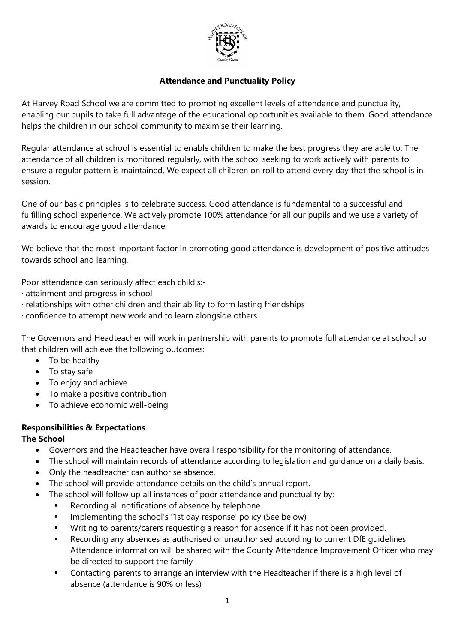

### **Attendance and Punctuality Policy**

At Harvey Road School we are committed to promoting excellent levels of attendance and punctuality, enabling our pupils to take full advantage of the educational opportunities available to them. Good attendance helps the children in our school community to maximise their learning.

Regular attendance at school is essential to enable children to make the best progress they are able to. The attendance of all children is monitored regularly, with the school seeking to work actively with parents to ensure a regular pattern is maintained. We expect all children on roll to attend every day that the school is in session.

One of our basic principles is to celebrate success. Good attendance is fundamental to a successful and fulfilling school experience. We actively promote 100% attendance for all our pupils and we use a variety of awards to encourage good attendance.

We believe that the most important factor in promoting good attendance is development of positive attitudes towards school and learning.

Poor attendance can seriously affect each child's:-

- · attainment and progress in school
- · relationships with other children and their ability to form lasting friendships
- · confidence to attempt new work and to learn alongside others

The Governors and Headteacher will work in partnership with parents to promote full attendance at school so that children will achieve the following outcomes:

- To be healthy
- To stay safe
- To enjoy and achieve
- To make a positive contribution
- To achieve economic well-being

# **Responsibilities & Expectations**

### **The School**

- Governors and the Headteacher have overall responsibility for the monitoring of attendance.
- The school will maintain records of attendance according to legislation and guidance on a daily basis.
- Only the headteacher can authorise absence.
- The school will provide attendance details on the child's annual report.
	- The school will follow up all instances of poor attendance and punctuality by:
		- Recording all notifications of absence by telephone.
		- **IMPLEMENTER IMPLEMENT IS CHOOL**'s '1st day response' policy (See below)
		- Writing to parents/carers requesting a reason for absence if it has not been provided.
		- Recording any absences as authorised or unauthorised according to current DfE guidelines Attendance information will be shared with the County Attendance Improvement Officer who may be directed to support the family
		- Contacting parents to arrange an interview with the Headteacher if there is a high level of absence (attendance is 90% or less)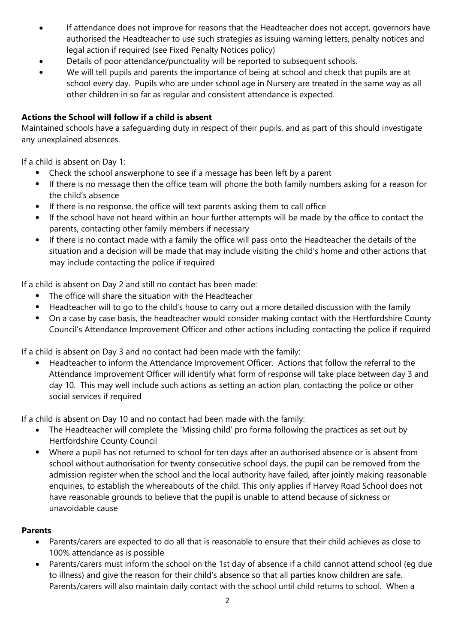- If attendance does not improve for reasons that the Headteacher does not accept, governors have authorised the Headteacher to use such strategies as issuing warning letters, penalty notices and legal action if required (see Fixed Penalty Notices policy)
- Details of poor attendance/punctuality will be reported to subsequent schools.
- We will tell pupils and parents the importance of being at school and check that pupils are at school every day. Pupils who are under school age in Nursery are treated in the same way as all other children in so far as regular and consistent attendance is expected.

# **Actions the School will follow if a child is absent**

Maintained schools have a safeguarding duty in respect of their pupils, and as part of this should investigate any unexplained absences.

If a child is absent on Day 1:

- Check the school answerphone to see if a message has been left by a parent
- If there is no message then the office team will phone the both family numbers asking for a reason for the child's absence
- If there is no response, the office will text parents asking them to call office
- If the school have not heard within an hour further attempts will be made by the office to contact the parents, contacting other family members if necessary
- If there is no contact made with a family the office will pass onto the Headteacher the details of the situation and a decision will be made that may include visiting the child's home and other actions that may include contacting the police if required

If a child is absent on Day 2 and still no contact has been made:

- The office will share the situation with the Headteacher
- Headteacher will to go to the child's house to carry out a more detailed discussion with the family
- On a case by case basis, the headteacher would consider making contact with the Hertfordshire County Council's Attendance Improvement Officer and other actions including contacting the police if required

If a child is absent on Day 3 and no contact had been made with the family:

 Headteacher to inform the Attendance Improvement Officer. Actions that follow the referral to the Attendance Improvement Officer will identify what form of response will take place between day 3 and day 10. This may well include such actions as setting an action plan, contacting the police or other social services if required

If a child is absent on Day 10 and no contact had been made with the family:

- The Headteacher will complete the 'Missing child' pro forma following the practices as set out by Hertfordshire County Council
- Where a pupil has not returned to school for ten days after an authorised absence or is absent from school without authorisation for twenty consecutive school days, the pupil can be removed from the admission register when the school and the local authority have failed, after jointly making reasonable enquiries, to establish the whereabouts of the child. This only applies if Harvey Road School does not have reasonable grounds to believe that the pupil is unable to attend because of sickness or unavoidable cause

# **Parents**

- Parents/carers are expected to do all that is reasonable to ensure that their child achieves as close to 100% attendance as is possible
- Parents/carers must inform the school on the 1st day of absence if a child cannot attend school (eg due to illness) and give the reason for their child's absence so that all parties know children are safe. Parents/carers will also maintain daily contact with the school until child returns to school. When a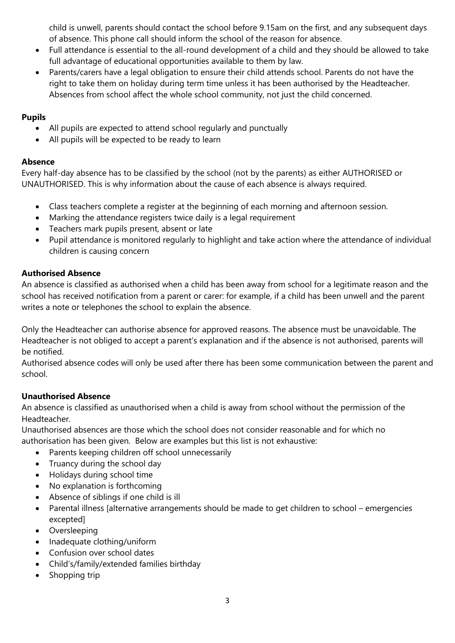child is unwell, parents should contact the school before 9.15am on the first, and any subsequent days of absence. This phone call should inform the school of the reason for absence.

- Full attendance is essential to the all-round development of a child and they should be allowed to take full advantage of educational opportunities available to them by law.
- Parents/carers have a legal obligation to ensure their child attends school. Parents do not have the right to take them on holiday during term time unless it has been authorised by the Headteacher. Absences from school affect the whole school community, not just the child concerned.

## **Pupils**

- All pupils are expected to attend school regularly and punctually
- All pupils will be expected to be ready to learn

# **Absence**

Every half-day absence has to be classified by the school (not by the parents) as either AUTHORISED or UNAUTHORISED. This is why information about the cause of each absence is always required.

- Class teachers complete a register at the beginning of each morning and afternoon session.
- Marking the attendance registers twice daily is a legal requirement
- Teachers mark pupils present, absent or late
- Pupil attendance is monitored regularly to highlight and take action where the attendance of individual children is causing concern

# **Authorised Absence**

An absence is classified as authorised when a child has been away from school for a legitimate reason and the school has received notification from a parent or carer: for example, if a child has been unwell and the parent writes a note or telephones the school to explain the absence.

Only the Headteacher can authorise absence for approved reasons. The absence must be unavoidable. The Headteacher is not obliged to accept a parent's explanation and if the absence is not authorised, parents will be notified.

Authorised absence codes will only be used after there has been some communication between the parent and school.

# **Unauthorised Absence**

An absence is classified as unauthorised when a child is away from school without the permission of the Headteacher.

Unauthorised absences are those which the school does not consider reasonable and for which no authorisation has been given. Below are examples but this list is not exhaustive:

- Parents keeping children off school unnecessarily
- Truancy during the school day
- Holidays during school time
- No explanation is forthcoming
- Absence of siblings if one child is ill
- Parental illness [alternative arrangements should be made to get children to school emergencies excepted]
- Oversleeping
- Inadequate clothing/uniform
- Confusion over school dates
- Child's/family/extended families birthday
- Shopping trip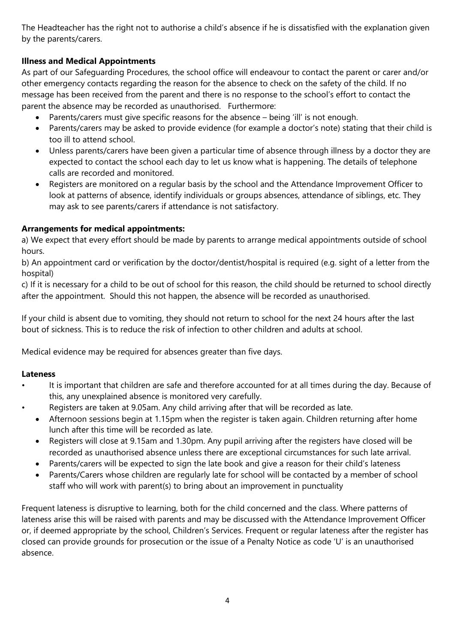The Headteacher has the right not to authorise a child's absence if he is dissatisfied with the explanation given by the parents/carers.

# **Illness and Medical Appointments**

As part of our Safeguarding Procedures, the school office will endeavour to contact the parent or carer and/or other emergency contacts regarding the reason for the absence to check on the safety of the child. If no message has been received from the parent and there is no response to the school's effort to contact the parent the absence may be recorded as unauthorised. Furthermore:

- Parents/carers must give specific reasons for the absence being 'ill' is not enough.
- Parents/carers may be asked to provide evidence (for example a doctor's note) stating that their child is too ill to attend school.
- Unless parents/carers have been given a particular time of absence through illness by a doctor they are expected to contact the school each day to let us know what is happening. The details of telephone calls are recorded and monitored.
- Registers are monitored on a regular basis by the school and the Attendance Improvement Officer to look at patterns of absence, identify individuals or groups absences, attendance of siblings, etc. They may ask to see parents/carers if attendance is not satisfactory.

### **Arrangements for medical appointments:**

a) We expect that every effort should be made by parents to arrange medical appointments outside of school hours.

b) An appointment card or verification by the doctor/dentist/hospital is required (e.g. sight of a letter from the hospital)

c) If it is necessary for a child to be out of school for this reason, the child should be returned to school directly after the appointment. Should this not happen, the absence will be recorded as unauthorised.

If your child is absent due to vomiting, they should not return to school for the next 24 hours after the last bout of sickness. This is to reduce the risk of infection to other children and adults at school.

Medical evidence may be required for absences greater than five days.

### **Lateness**

- It is important that children are safe and therefore accounted for at all times during the day. Because of this, any unexplained absence is monitored very carefully.
	- Registers are taken at 9.05am. Any child arriving after that will be recorded as late.
		- Afternoon sessions begin at 1.15pm when the register is taken again. Children returning after home lunch after this time will be recorded as late.
		- Registers will close at 9.15am and 1.30pm. Any pupil arriving after the registers have closed will be recorded as unauthorised absence unless there are exceptional circumstances for such late arrival.
		- Parents/carers will be expected to sign the late book and give a reason for their child's lateness
		- Parents/Carers whose children are regularly late for school will be contacted by a member of school staff who will work with parent(s) to bring about an improvement in punctuality

Frequent lateness is disruptive to learning, both for the child concerned and the class. Where patterns of lateness arise this will be raised with parents and may be discussed with the Attendance Improvement Officer or, if deemed appropriate by the school, Children's Services. Frequent or regular lateness after the register has closed can provide grounds for prosecution or the issue of a Penalty Notice as code 'U' is an unauthorised absence.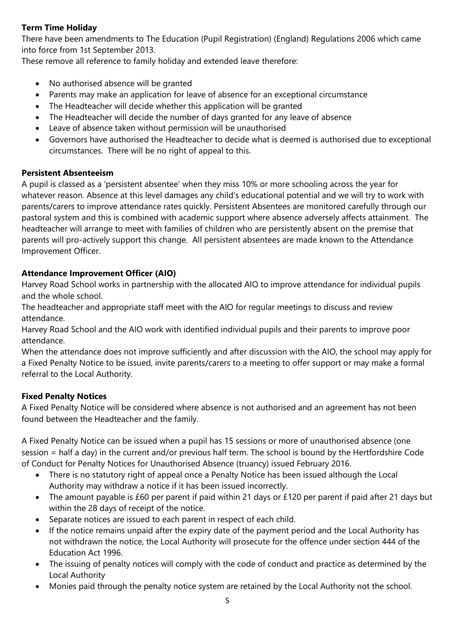# **Term Time Holiday**

There have been amendments to The Education (Pupil Registration) (England) Regulations 2006 which came into force from 1st September 2013.

These remove all reference to family holiday and extended leave therefore:

- No authorised absence will be granted
- Parents may make an application for leave of absence for an exceptional circumstance
- The Headteacher will decide whether this application will be granted
- The Headteacher will decide the number of days granted for any leave of absence
- Leave of absence taken without permission will be unauthorised
- Governors have authorised the Headteacher to decide what is deemed is authorised due to exceptional circumstances. There will be no right of appeal to this.

## **Persistent Absenteeism**

A pupil is classed as a 'persistent absentee' when they miss 10% or more schooling across the year for whatever reason. Absence at this level damages any child's educational potential and we will try to work with parents/carers to improve attendance rates quickly. Persistent Absentees are monitored carefully through our pastoral system and this is combined with academic support where absence adversely affects attainment. The headteacher will arrange to meet with families of children who are persistently absent on the premise that parents will pro-actively support this change. All persistent absentees are made known to the Attendance Improvement Officer.

## **Attendance Improvement Officer (AIO)**

Harvey Road School works in partnership with the allocated AIO to improve attendance for individual pupils and the whole school.

The headteacher and appropriate staff meet with the AIO for regular meetings to discuss and review attendance.

Harvey Road School and the AIO work with identified individual pupils and their parents to improve poor attendance.

When the attendance does not improve sufficiently and after discussion with the AIO, the school may apply for a Fixed Penalty Notice to be issued, invite parents/carers to a meeting to offer support or may make a formal referral to the Local Authority.

# **Fixed Penalty Notices**

A Fixed Penalty Notice will be considered where absence is not authorised and an agreement has not been found between the Headteacher and the family.

A Fixed Penalty Notice can be issued when a pupil has 15 sessions or more of unauthorised absence (one session = half a day) in the current and/or previous half term. The school is bound by the Hertfordshire Code of Conduct for Penalty Notices for Unauthorised Absence (truancy) issued February 2016.

- There is no statutory right of appeal once a Penalty Notice has been issued although the Local Authority may withdraw a notice if it has been issued incorrectly.
- The amount payable is £60 per parent if paid within 21 days or £120 per parent if paid after 21 days but within the 28 days of receipt of the notice.
- Separate notices are issued to each parent in respect of each child.
- If the notice remains unpaid after the expiry date of the payment period and the Local Authority has not withdrawn the notice, the Local Authority will prosecute for the offence under section 444 of the Education Act 1996.
- The issuing of penalty notices will comply with the code of conduct and practice as determined by the Local Authority
- Monies paid through the penalty notice system are retained by the Local Authority not the school.